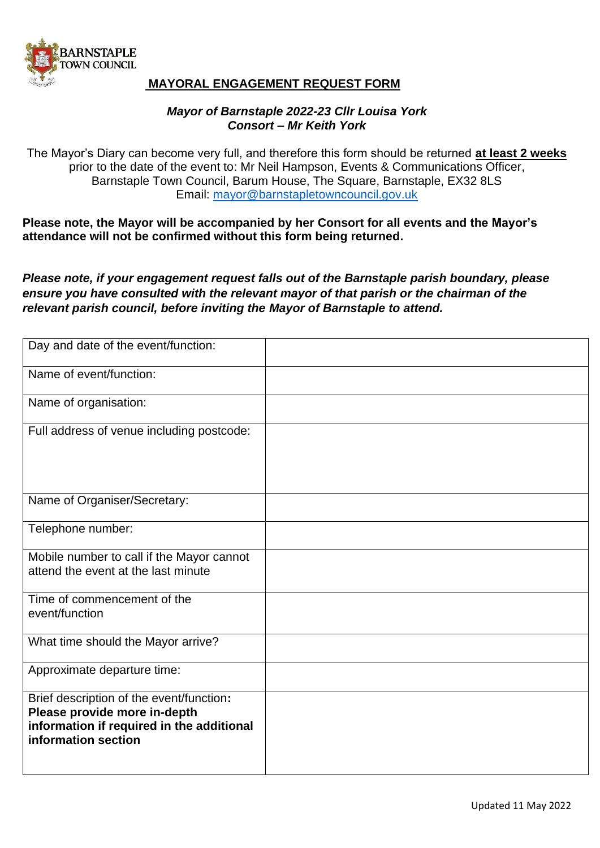

## **MAYORAL ENGAGEMENT REQUEST FORM**

## *Mayor of Barnstaple 2022-23 Cllr Louisa York Consort – Mr Keith York*

The Mayor's Diary can become very full, and therefore this form should be returned **at least 2 weeks** prior to the date of the event to: Mr Neil Hampson, Events & Communications Officer, Barnstaple Town Council, Barum House, The Square, Barnstaple, EX32 8LS Email: [mayor@barnstapletowncouncil.gov.uk](mailto:mayor@barnstapletowncouncil.gov.uk)

**Please note, the Mayor will be accompanied by her Consort for all events and the Mayor's attendance will not be confirmed without this form being returned.**

*Please note, if your engagement request falls out of the Barnstaple parish boundary, please ensure you have consulted with the relevant mayor of that parish or the chairman of the relevant parish council, before inviting the Mayor of Barnstaple to attend.*

| Day and date of the event/function:                                                                                                          |  |
|----------------------------------------------------------------------------------------------------------------------------------------------|--|
| Name of event/function:                                                                                                                      |  |
| Name of organisation:                                                                                                                        |  |
| Full address of venue including postcode:                                                                                                    |  |
| Name of Organiser/Secretary:                                                                                                                 |  |
| Telephone number:                                                                                                                            |  |
| Mobile number to call if the Mayor cannot<br>attend the event at the last minute                                                             |  |
| Time of commencement of the<br>event/function                                                                                                |  |
| What time should the Mayor arrive?                                                                                                           |  |
| Approximate departure time:                                                                                                                  |  |
| Brief description of the event/function:<br>Please provide more in-depth<br>information if required in the additional<br>information section |  |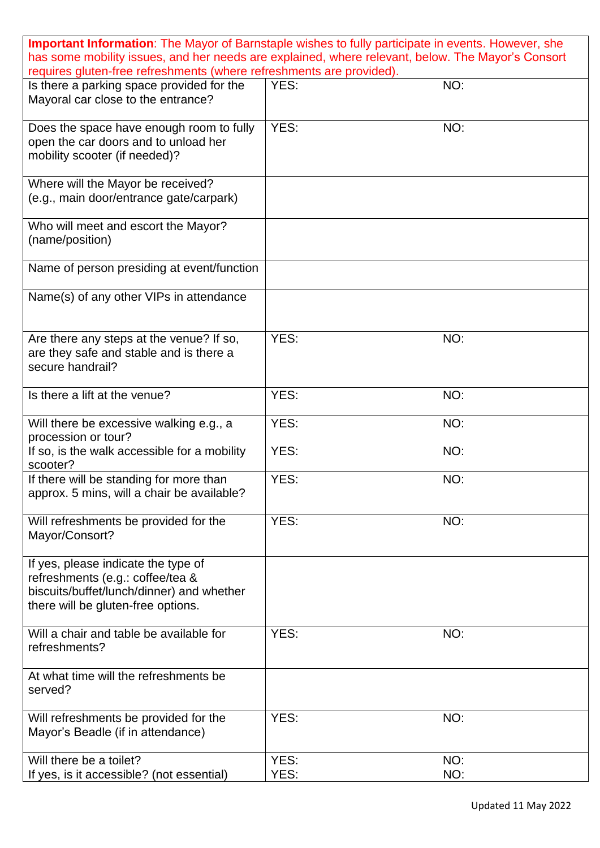| <b>Important Information</b> : The Mayor of Barnstaple wishes to fully participate in events. However, she<br>has some mobility issues, and her needs are explained, where relevant, below. The Mayor's Consort |              |            |
|-----------------------------------------------------------------------------------------------------------------------------------------------------------------------------------------------------------------|--------------|------------|
| requires gluten-free refreshments (where refreshments are provided).                                                                                                                                            |              |            |
| Is there a parking space provided for the<br>Mayoral car close to the entrance?                                                                                                                                 | YES:         | NO:        |
| Does the space have enough room to fully<br>open the car doors and to unload her<br>mobility scooter (if needed)?                                                                                               | YES:         | NO:        |
| Where will the Mayor be received?<br>(e.g., main door/entrance gate/carpark)                                                                                                                                    |              |            |
| Who will meet and escort the Mayor?<br>(name/position)                                                                                                                                                          |              |            |
| Name of person presiding at event/function                                                                                                                                                                      |              |            |
| Name(s) of any other VIPs in attendance                                                                                                                                                                         |              |            |
| Are there any steps at the venue? If so,<br>are they safe and stable and is there a<br>secure handrail?                                                                                                         | YES:         | NO:        |
| Is there a lift at the venue?                                                                                                                                                                                   | YES:         | NO:        |
| Will there be excessive walking e.g., a<br>procession or tour?                                                                                                                                                  | YES:         | NO:        |
| If so, is the walk accessible for a mobility<br>scooter?                                                                                                                                                        | YES:         | NO:        |
| If there will be standing for more than<br>approx. 5 mins, will a chair be available?                                                                                                                           | YES:         | NO:        |
| Will refreshments be provided for the<br>Mayor/Consort?                                                                                                                                                         | YES:         | NO:        |
| If yes, please indicate the type of<br>refreshments (e.g.: coffee/tea &<br>biscuits/buffet/lunch/dinner) and whether<br>there will be gluten-free options.                                                      |              |            |
| Will a chair and table be available for<br>refreshments?                                                                                                                                                        | YES:         | NO:        |
| At what time will the refreshments be<br>served?                                                                                                                                                                |              |            |
| Will refreshments be provided for the<br>Mayor's Beadle (if in attendance)                                                                                                                                      | YES:         | NO:        |
| Will there be a toilet?<br>If yes, is it accessible? (not essential)                                                                                                                                            | YES:<br>YES: | NO:<br>NO: |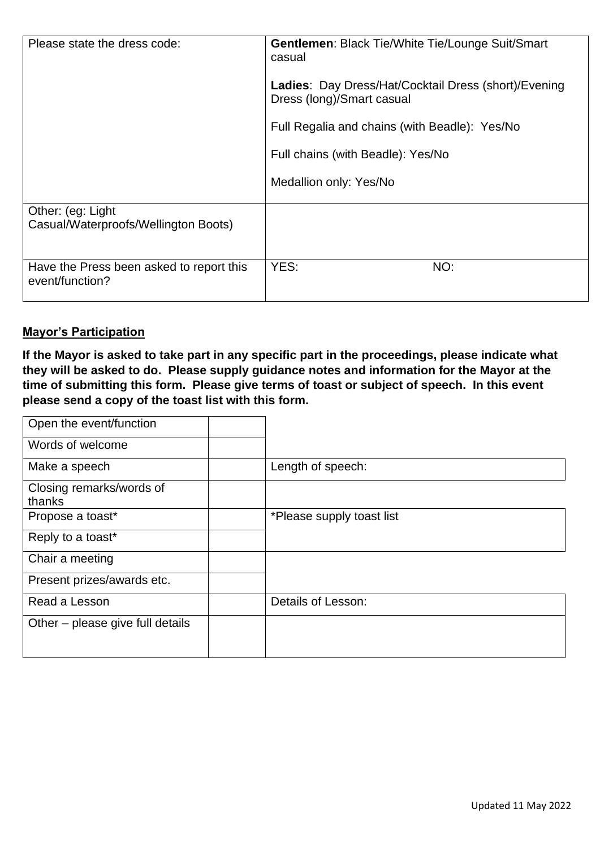| Please state the dress code:                                                                                              | <b>Gentlemen: Black Tie/White Tie/Lounge Suit/Smart</b><br>casual<br><b>Ladies: Day Dress/Hat/Cocktail Dress (short)/Evening</b><br>Dress (long)/Smart casual<br>Full Regalia and chains (with Beadle): Yes/No<br>Full chains (with Beadle): Yes/No<br>Medallion only: Yes/No |
|---------------------------------------------------------------------------------------------------------------------------|-------------------------------------------------------------------------------------------------------------------------------------------------------------------------------------------------------------------------------------------------------------------------------|
| Other: (eg: Light)<br>Casual/Waterproofs/Wellington Boots)<br>Have the Press been asked to report this<br>event/function? | YES:<br>NO:                                                                                                                                                                                                                                                                   |

## **Mayor's Participation**

**If the Mayor is asked to take part in any specific part in the proceedings, please indicate what they will be asked to do. Please supply guidance notes and information for the Mayor at the time of submitting this form. Please give terms of toast or subject of speech. In this event please send a copy of the toast list with this form.**

| Open the event/function          |                           |
|----------------------------------|---------------------------|
| Words of welcome                 |                           |
| Make a speech                    | Length of speech:         |
| Closing remarks/words of         |                           |
| thanks                           |                           |
| Propose a toast*                 | *Please supply toast list |
| Reply to a toast*                |                           |
| Chair a meeting                  |                           |
| Present prizes/awards etc.       |                           |
| Read a Lesson                    | Details of Lesson:        |
| Other – please give full details |                           |